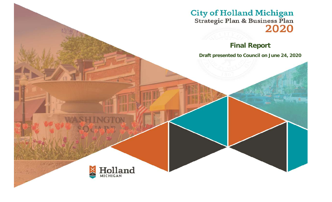City of Holland Michigan<br>Strategic Plan & Business Plan<br>2020

# **Final Report**

**Draft presented to Council on June 24, 2020**

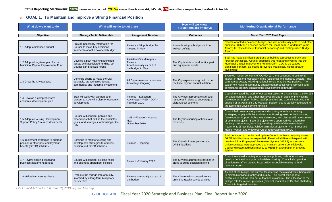### **GOAL 1: To Maintain and Improve a Strong Financial Position**

| What do we want to do                                                                                | What will we do to get there                                                                                                      |                                                                                       | <b>How will we know</b><br>our actions are effective                                             | <b>Monitoring Organizational Performance</b>                                                                                                                                                                                                                                                                                                                                                                                                                                                            |
|------------------------------------------------------------------------------------------------------|-----------------------------------------------------------------------------------------------------------------------------------|---------------------------------------------------------------------------------------|--------------------------------------------------------------------------------------------------|---------------------------------------------------------------------------------------------------------------------------------------------------------------------------------------------------------------------------------------------------------------------------------------------------------------------------------------------------------------------------------------------------------------------------------------------------------------------------------------------------------|
| Objective                                                                                            | <b>Strategy Tactic Deliverable</b>                                                                                                | <b>Assignment Timeline</b>                                                            | <b>Outcomes</b>                                                                                  | <b>Fiscal Year 2020 Final Report</b>                                                                                                                                                                                                                                                                                                                                                                                                                                                                    |
| 1.1 Adopt a balanced budget                                                                          | Provide necessary information for<br>Council to make key decisions<br>In order to adopt a balanced budget                         | Finance - Adopt budget first<br>meeting in May                                        | Annually adopt a budget on time<br>without deficits                                              | Council adopted a balanced budget, and was additionally able to fund other<br>priorities. COVID-19 causes concern for Fiscal Year 21 and future years.<br>Awards for "Excellence in Financial Reporting" and "Distinguished Budget<br>Award".                                                                                                                                                                                                                                                           |
| 1.2 Adopt a long-term plan for the<br>Municipal Capital Improvement Fund                             | Develop a plan matching identified<br>assets with associated funding, so<br>Council can prioritize needs                          | Assistant City Manager -<br>Finance<br>Adopt annually as part of<br>the budget in May | The City is able to fund facility, park<br>and equipment needs                                   | Staff has made significant progress on building a process to track and<br>forecast our assets. Council prioritized this need and invested into the<br>Municipal Capital Improvement Fund (MCIF). COVID-19 causes<br>significant concern, as losses in revenue would likely hit this area of<br>investment.                                                                                                                                                                                              |
| 1.3 Grow the City tax base                                                                           | Continue efforts to make the City<br>desirable, attracting residential,<br>commercial and industrial investment                   | All Departments - Lakeshore<br><b>Advantage Ongoing</b>                               | The City experiences growth in our<br>tax base beyond annual inflation                           | Even with recent concerns of COVID-19, there continues to be strong<br>interest in Holland, especially in the residential and industrial sectors. The<br>commercial sector, following national trends, may be less positive. The<br>Waterfront Holland community engagement process went very well, and<br>consultants are now engaging the development community.                                                                                                                                      |
| 1.4 Develop a comprehensive<br>economic development plan                                             | Staff will work with partners and<br>present to Council a plan for economic<br>development                                        | Finance - Lakeshore<br>Advantage - PSD - DDA -<br>February 2020                       | The City has appropriate staff and<br>resources in place to encourage a<br>vibrant local economy | Council reviewed the work of our partner Lakeshore Advantage, the PA 198<br>tax abatement tool, and other incentives utilized in drafts of the Housing<br>Development Support Policy. Staff presented and Council approved the<br>addition of an Assistant City Manager position that is partially dedicated to<br>the Economic Development function.                                                                                                                                                   |
| 1.5 Adopt a Housing Development<br>Support Policy & related documents                                | Council will consider policies and<br>procedures that outline the principles,<br>goals, and strategies for housing in the<br>City | CNS - Finance - Housing<br><b>Next</b><br>November 2019                               | The City has housing options to all<br>residents                                                 | Council held several study sessions discussing affordable housing<br>strategies, largely with the assistance of Housing Next. A draft Housing<br>Development Support Policy was developed, and discussed in the context<br>of potential projects. Several projects were approved with affordable<br>housing components, including: Kensington Place/Macatawa Farms<br>Apartments (Brownfield), Jubilee Ministries projects on 40th Street and<br>Maple Avenue, and Wildwood Creek redevelopment (PILOT) |
| 1.6 Implement strategies to address<br>pension & other post-employment<br>benefit (OPEB) liabilities | Continue to monitor existing and<br>develop new strategies to address<br>pension and OPEB liabilities                             | Finance - Ongoing                                                                     | The City eliminates pension and<br><b>OPEB</b> liabilities                                       | Staff continued to monitor and update Council on these on-going issues.<br>OPEB liabilities have not expanded. Pension liabilities will expand with<br>new Municipal Employees' Retirement System (MERS) assumptions.<br>Union contracts were approved that maintain current benefit levels.<br>Council directed additional money to MERS in anticipation of growing<br>liability.                                                                                                                      |
| 1.7 Review existing fiscal and<br>business abatement policies                                        | Council will consider existing fiscal<br>and business abatement policies                                                          | Finance - February 2020                                                               | The City has appropriate policies in<br>place to guide decision making                           | Council reviewed a variety of abatement policies, both for economic<br>development and to support affordable housing. Council also provided<br>direction to staff on crafting fiscal policy, especially relating to fund<br>balance targets.                                                                                                                                                                                                                                                            |
| 1.8 Maintain current tax base                                                                        | Evaluate the millage rate annually,<br>informed by a long-term budgetary<br>perspective                                           | Finance - Annually as part of<br>the budget                                           | The City remains competitive with<br>providing quality serves at value                           | As part of the budget, the current tax rate was maintained while being able<br>to maintain service quantity and quality. The overall millage rate<br>continues to be less than our authorized maximum. The allocation of the<br>millage rate for various purposes (General, Capital, and Debt) is shifted by<br>Council to targeted priorities.                                                                                                                                                         |

*City Council Action 19.300, June 19, 2019 Regular Meeting*

CITY OF HOLLAND | Fiscal Year 2020 Strategic and Business Plan, Final Report June 2020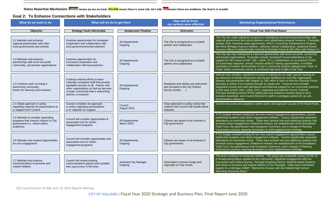**Status Reporting Mechanism**: **GREEN means we are on track; YELLOW means there is some risk, let's talk; RED means there are problems, the Goal is in trouble**

#### **Goal 2: To Enhance Connections with Stakeholders**

| What do we want to do                                                                                                      | What will we do to get there                                                                                                                                                                                                      |                                          | How will be know<br>our actions were effective                                               | <b>Monitoring Organizational Performance</b>                                                                                                                                                                                                                                                                                                                                                                                                                                                                                                                                                                                                                                                                                                             |
|----------------------------------------------------------------------------------------------------------------------------|-----------------------------------------------------------------------------------------------------------------------------------------------------------------------------------------------------------------------------------|------------------------------------------|----------------------------------------------------------------------------------------------|----------------------------------------------------------------------------------------------------------------------------------------------------------------------------------------------------------------------------------------------------------------------------------------------------------------------------------------------------------------------------------------------------------------------------------------------------------------------------------------------------------------------------------------------------------------------------------------------------------------------------------------------------------------------------------------------------------------------------------------------------------|
| Objective                                                                                                                  | <b>Strategy Tactic Deliverable</b>                                                                                                                                                                                                | <b>Assignment Timeline</b>               | <b>Outcomes</b>                                                                              | <b>Fiscal Year 2020 Final Report</b>                                                                                                                                                                                                                                                                                                                                                                                                                                                                                                                                                                                                                                                                                                                     |
| 2.1 Maintain and enhance<br>regional partnerships with other<br>local governments and schools                              | Examine opportunities for increased<br>cooperation and collaboration with<br>local government/school partners                                                                                                                     | All Departments<br>Ongoing               | The City is recognized as a trusted<br>partner and collaborator                              | The City has made significant progress in maintaining and improving partnerships with<br>regional government and school partners and collaborating towards solutions. Examples<br>include; Park Township water agreements, MACC Community Enhancement Program,<br>the West Michigan Express initiative, Jefferson School Collaboration, additional school<br>resource officer in Holland Public Schools & Diversity Forum & DEI office with Ottawa Co.                                                                                                                                                                                                                                                                                                   |
| 2.2 Maintain and enhance<br>partnerships with local non-profit,<br>community, and private organizations                    | Examine opportunities for<br>increased cooperation and<br>collaboration with local partners                                                                                                                                       | All Departments<br>Ongoing               | The City is recognized as a trusted<br>partner and collaborator                              | The City also has maintained & improved partnerships with local non-profit, community<br>and private organizations. Examples include; increased Council attendance & City<br>support for DEI events (LAUP, DNL, LEDA, OTL), collaboration on successful COVID-<br>19 community response, annual Tenant/Landlord Training opportunities, & multiple<br>examples of creative sponsorships of city or community projects (playgrounds, Dept. of<br>Public Safety community events, & continued high level of gifts to the City).                                                                                                                                                                                                                            |
| 2.3 Continue work on being a<br>welcoming community,<br>known for diversity and inclusion                                  | Continue internal efforts to have<br>culturally competent staff that provide<br>equitable services to all. Partner with<br>other organizations so that we become<br>a larger community that is welcoming,<br>diverse, & inclusive | All Departments<br>Ongoing               | Residents and visitors are welcomed<br>and included in the City (Citizen<br>Survey results ) | Internal work includes; significant increase in training for our staff, specific training for<br>our directors of Human Resources and Human Relations to move the organization<br>forward, and partnership with Ottawa Co. DEI office to both co-host the Diversity Forum<br>and plan a review of our policies through an equity lens. External work includes;<br>expanded Council and staff attendance and financial support for our community partners<br>in DEI work (LAUP, DNL, LEDA, OTL), organized and held the first Int. Festival,<br>Principal Shopping District (PSD) stated goal and initiatives towards being a more<br>inclusive downtown, and Council direction to staff to investigate options for an anti-<br>discrimination ordinance. |
| 2.4 Adopt approach or policy<br>regarding requests for presentations to<br>or support from Council                         | Council considers an approach<br>or policy regarding presentations<br>to or requests for support                                                                                                                                  | Council<br>August 2019                   | Clear approach or policy exists that<br>outlines how Council will handle these<br>requests   | Council discussed and adopted a written policy and approach as part of the Board Rules.                                                                                                                                                                                                                                                                                                                                                                                                                                                                                                                                                                                                                                                                  |
| 2.5 Maintain & consider expanding<br>programs that connect citizens to City<br>government (i.e. citizen police<br>academy) | Council will consider opportunities &<br>associated cost for citizen<br>engagement programs                                                                                                                                       | All Departments<br><b>March 2020</b>     | Citizens are aware of an involved in<br>City government                                      | FY21 budget included funding for two new council engagement opportunities; council<br>leadership academy and citizen engagement software. Council significantly expanded<br>attendance at community events. There were several new and significant projects that<br>involved citizen engagement; Waterfront Holland, the establishment of the Broadband<br>Task Force, the greenhouse near Evergreen Commons, and a change in Planning<br>Commission process requiring developers to hold neighborhood meetings.                                                                                                                                                                                                                                         |
| 2.6 Maintain and expand opportunities<br>for civic engagement                                                              | Council will consider opportunities and<br>associated cost for citizen<br>engagement programs                                                                                                                                     | All Departments<br>Ongoing               | Citizens are aware of an involved in<br>City government                                      | FY21 budget included funding for two new council engagement opportunities; council<br>leadership academy and citizen engagement software. Council significantly expanded<br>attendance at community events. There were several new and significant projects that<br>involved citizen engagement; Waterfront Holland, the establishment of the Broadband<br>Task Force, the greenhouse near Evergreen Commons, and a change in Planning<br>Commission process requiring developers to hold neighborhood meetings.                                                                                                                                                                                                                                         |
| 2.7 Maintain and improve<br>communications to promote and<br>market Holland                                                | Council will review existing<br>communications plan(s) and consider<br>new opportunities in this area                                                                                                                             | <b>Assistant City Manager</b><br>Ongoing | Information is known locally and<br>regionally on City events                                | The team continues to showcase Holland. This group was invaluable during COVID-19<br>in broadcasting Mayor updates to the community. Significant engagement with the<br>Convention and Visitors Bureau, Principal Shopping District, Windmill Island Gardens<br>and others to enhance and expand delivery of our message. Video team nominated<br>(again) for a Michigan EMMY, "Behind the Scenes with the Holland High School<br>Marching Dutchman Band."                                                                                                                                                                                                                                                                                               |

*City Council Action 19.300, June 19, 2019 Regular Meeting*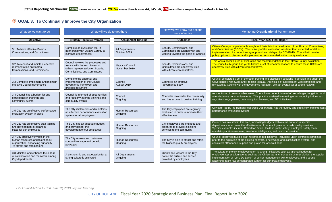## **GOAL 3: To Continually Improve the City Organization**

| What do we want to do                                                                                                                           | What will we do to get there                                                                                                             |                                   | How will we know our actions<br>were effective                                                      | Monitoring Organizational Performance                                                                                                                                                                                                                                                                                                                                        |
|-------------------------------------------------------------------------------------------------------------------------------------------------|------------------------------------------------------------------------------------------------------------------------------------------|-----------------------------------|-----------------------------------------------------------------------------------------------------|------------------------------------------------------------------------------------------------------------------------------------------------------------------------------------------------------------------------------------------------------------------------------------------------------------------------------------------------------------------------------|
| <b>Objective</b>                                                                                                                                | <b>Strategy Tactic Deliverable</b>                                                                                                       | <b>Assignment Timeline</b>        | <b>Outcomes</b>                                                                                     | Fiscal Year 2020 Final Report                                                                                                                                                                                                                                                                                                                                                |
| 3.1 To have effective Boards,<br>Commissions, and Committees                                                                                    | Complete an evaluation tool in<br>partnership with Ottawa County to<br>increase effectiveness                                            | All Departments<br>October 2019   | Boards, Commissions, and<br>Committees are aligned with and<br>working towards the goals of Council | Ottawa County completed a thorough and first-of-its-kind evaluation of our Boards, Committees,<br>and Commissions (BCC's). The delivery of this evaluation was later than expected, and then<br>implementation of a council sub-group has been delayed by COVID-19. Council will receive<br>policy options to discuss and implement as recommended in the county evaluation. |
| 3.2 To recruit and maintain effective<br>representation on Boards,<br>Commissions, and Committees                                               | Council reviews the processes and<br>assists with the recruitment of<br>citizen representation on Boards,<br>Commissions, and Committees | Mayor - Council<br>November 2019  | Boards, Commissions, and<br>Committees are effectively filled<br>with citizen representatives       | This was a specific area of evaluation and recommendation in the Ottawa County evaluation.<br>The council sub-group has yet to finalize a set of recommendations to ensure these BCC's are<br>effectively filled with citizen representatives.                                                                                                                               |
| 3.3 Complete, implement and maintain<br>effective Council governance                                                                            | Complete the approval and<br>implementation of the Council<br>governance framework and<br>process document                               | Council<br>August 2019            | Council is an effective<br>governance body                                                          | Council completed a set of thorough training and discussion sessions to develop and adopt the<br>Governance Framework and Process Manual. An initial self-assessment was completed and<br>reviewed by Council with the governance facilitator, with an overall set of strong reviews.                                                                                        |
| 3.4 Council has a budget for and<br>participates in trainings and<br>community events                                                           | Council is informed of opportunities<br>and regularly attends trainings and<br>community events                                          | Council<br>Ongoing                | Council is involved in the community<br>and has access to desired training                          | As mentioned in several other areas, Council was better informed of, set a larger budget for, and<br>attended more community events. This practice assisted in meeting other council priorities such<br>as; citizen engagement, community involvement, and DEI initiatives.                                                                                                  |
| 3.5 City has an effective performance<br>evaluation system in place                                                                             | The City implements and maintains<br>an effective performance evaluation<br>system for all employees                                     | <b>Human Resources</b><br>Ongoing | The City employees are regularly<br>evaluated in order to increase their<br>effectiveness           | City staff, led by the Human Resources Department, has thoroughly and effectively implemented<br>performance evaluation system                                                                                                                                                                                                                                               |
| 3.6 City has an effective staff training<br>and development program in<br>place for our employees                                               | The City has an adequate budget<br>and provides for the<br>development of our employees                                                  | <b>Human Resources</b><br>Ongoing | City employees are engaged and<br>prepared to provide excellent<br>services to the community        | Council has invested in this area, increasing budgets both overall but also in specific<br>departments to increase the effectiveness of our employees to provide quality services.<br>Specific examples include; Robertson Brain Health in public safety, employee safety team,<br>mandatory anti-harassment, emotional intelligence, and customer service.                  |
| 3.7 City effectively invests in the<br>human resources and talent of our<br>organization, enhancing our ability<br>to attract and retain talent | The City reviews and maintains<br>competitive wage and benefit<br>packages                                                               | <b>Human Resources</b><br>Ongoing | The City is able to attract and retain<br>the highest quality employees                             | Council approved multiple staff recommended initiatives, including; union contracts completed<br>prior to the expiration of the existing contract, a new wage and classification system, and<br>consistent attendance, support and praise for jobs well done.                                                                                                                |
| 3.8 Maintain and enhance the culture<br>of collaboration and teamwork among<br>City departments                                                 | A partnership and expectation for a<br>strong culture is cultivated                                                                      | All Departments<br>Ongoing        | Clients and visitors to the City<br>notice the culture and service<br>provided by employees         | The culture of the city employee team is strong. Initiatives such as; a small budget for<br>employee appreciation events such as the Christmas luncheon and summer picnics, the popular<br>implementation of "Let's Do Lunch" of senior management with employees, and a strong<br>leadership team has demonstrated support for our great employees.                         |

*City Council Action 19.300, June 19, 2019 Regular Meeting*